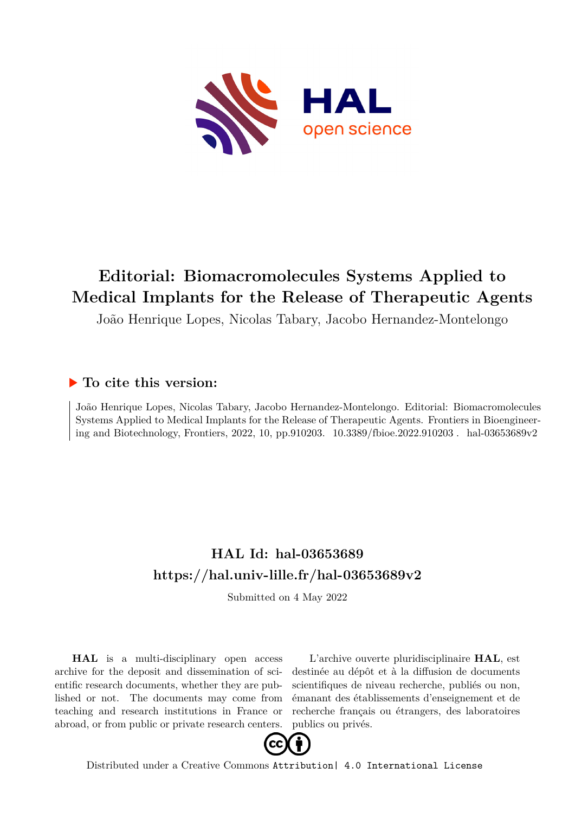

# **Editorial: Biomacromolecules Systems Applied to Medical Implants for the Release of Therapeutic Agents**

João Henrique Lopes, Nicolas Tabary, Jacobo Hernandez-Montelongo

## **To cite this version:**

João Henrique Lopes, Nicolas Tabary, Jacobo Hernandez-Montelongo. Editorial: Biomacromolecules Systems Applied to Medical Implants for the Release of Therapeutic Agents. Frontiers in Bioengineering and Biotechnology, Frontiers, 2022, 10, pp.910203.  $10.3389/fbioe.2022.910203$ . hal-03653689v2

## **HAL Id: hal-03653689 <https://hal.univ-lille.fr/hal-03653689v2>**

Submitted on 4 May 2022

**HAL** is a multi-disciplinary open access archive for the deposit and dissemination of scientific research documents, whether they are published or not. The documents may come from teaching and research institutions in France or abroad, or from public or private research centers.

L'archive ouverte pluridisciplinaire **HAL**, est destinée au dépôt et à la diffusion de documents scientifiques de niveau recherche, publiés ou non, émanant des établissements d'enseignement et de recherche français ou étrangers, des laboratoires publics ou privés.



Distributed under a Creative Commons [Attribution| 4.0 International License](http://creativecommons.org/licenses/by/4.0/)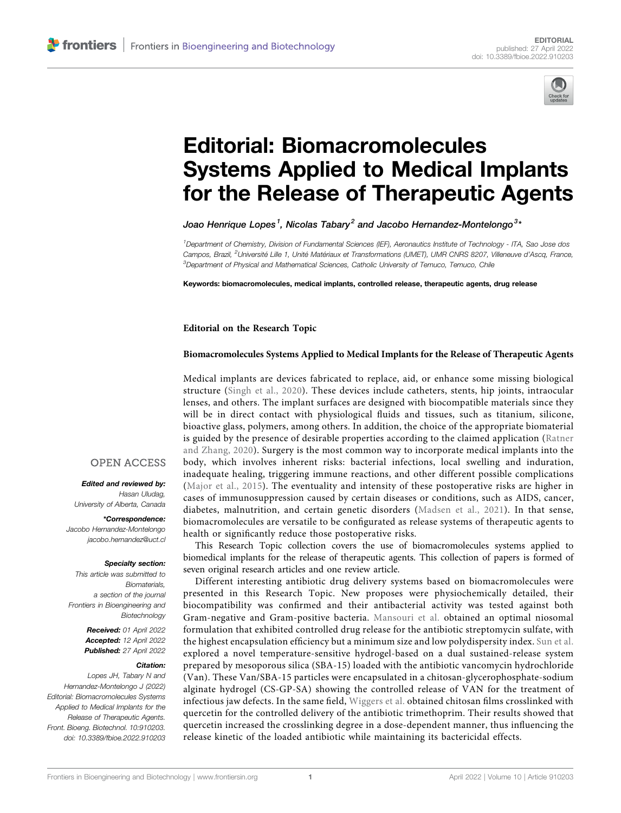

# [Editorial: Biomacromolecules](https://www.frontiersin.org/articles/10.3389/fbioe.2022.910203/full) [Systems Applied to Medical Implants](https://www.frontiersin.org/articles/10.3389/fbioe.2022.910203/full) [for the Release of Therapeutic Agents](https://www.frontiersin.org/articles/10.3389/fbioe.2022.910203/full)

Joao Henrique Lopes $^{\text{1}}$ , Nicolas Tabary $^{\text{2}}$  and Jacobo Hernandez-Montelongo $^{\text{3}}{}$ 

1 Department of Chemistry, Division of Fundamental Sciences (IEF), Aeronautics Institute of Technology - ITA, Sao Jose dos Campos, Brazil, <sup>2</sup>Université Lille 1, Unité Matériaux et Transformations (UMET), UMR CNRS 8207, Villeneuve d'Ascq, France, <sup>3</sup>Department of Physical and Mathematical Sciences, Catholic University of Temuco, Temuco, Chile

Keywords: biomacromolecules, medical implants, controlled release, therapeutic agents, drug release

Editorial on the Research Topic

#### [Biomacromolecules Systems Applied to Medical Implants for the Release of Therapeutic Agents](https://www.frontiersin.org/researchtopic/21870)

Medical implants are devices fabricated to replace, aid, or enhance some missing biological structure (Singh et al., 2020). These devices include catheters, stents, hip joints, intraocular lenses, and others. The implant surfaces are designed with biocompatible materials since they will be in direct contact with physiological fluids and tissues, such as titanium, silicone, bioactive glass, polymers, among others. In addition, the choice of the appropriate biomaterial is guided by the presence of desirable properties according to the claimed application (Ratner and Zhang, 2020). Surgery is the most common way to incorporate medical implants into the body, which involves inherent risks: bacterial infections, local swelling and induration, inadequate healing, triggering immune reactions, and other different possible complications (Major et al., 2015). The eventuality and intensity of these postoperative risks are higher in cases of immunosuppression caused by certain diseases or conditions, such as AIDS, cancer, diabetes, malnutrition, and certain genetic disorders (Madsen et al., 2021). In that sense, biomacromolecules are versatile to be configurated as release systems of therapeutic agents to health or significantly reduce those postoperative risks.

This Research Topic collection covers the use of biomacromolecules systems applied to biomedical implants for the release of therapeutic agents. This collection of papers is formed of seven original research articles and one review article.

Different interesting antibiotic drug delivery systems based on biomacromolecules were presented in this Research Topic. New proposes were physiochemically detailed, their biocompatibility was confirmed and their antibacterial activity was tested against both Gram-negative and Gram-positive bacteria. [Mansouri et al.](https://www.frontiersin.org/articles/10.3389/fbioe.2021.745099/full) obtained an optimal niosomal formulation that exhibited controlled drug release for the antibiotic streptomycin sulfate, with the highest encapsulation efficiency but a minimum size and low polydispersity index. [Sun et al.](https://www.frontiersin.org/articles/10.3389/fbioe.2022.826971/full) explored a novel temperature-sensitive hydrogel-based on a dual sustained-release system prepared by mesoporous silica (SBA-15) loaded with the antibiotic vancomycin hydrochloride (Van). These Van/SBA-15 particles were encapsulated in a chitosan-glycerophosphate-sodium alginate hydrogel (CS-GP-SA) showing the controlled release of VAN for the treatment of infectious jaw defects. In the same field, [Wiggers et al.](https://www.frontiersin.org/articles/10.3389/fbioe.2022.814162/full) obtained chitosan films crosslinked with quercetin for the controlled delivery of the antibiotic trimethoprim. Their results showed that quercetin increased the crosslinking degree in a dose-dependent manner, thus influencing the release kinetic of the loaded antibiotic while maintaining its bactericidal effects.

#### **OPEN ACCESS**

Edited and reviewed by: Hasan Uludag, University of Alberta, Canada

\*Correspondence: Jacobo Hernandez-Montelongo [jacobo.hernandez@uct.cl](mailto:jacobo.hernandez@uct.cl)

#### Specialty section:

This article was submitted to **Biomaterials** a section of the journal Frontiers in Bioengineering and **Biotechnology** 

> Received: 01 April 2022 Accepted: 12 April 2022 Published: 27 April 2022

#### Citation:

Lopes JH, Tabary N and Hernandez-Montelongo J (2022) Editorial: Biomacromolecules Systems Applied to Medical Implants for the Release of Therapeutic Agents. Front. Bioeng. Biotechnol. 10:910203. doi: [10.3389/fbioe.2022.910203](https://doi.org/10.3389/fbioe.2022.910203)